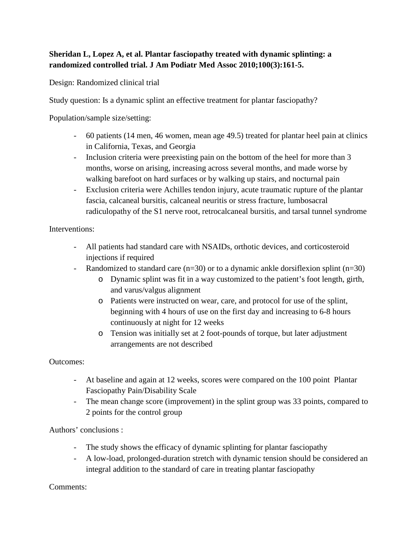## **Sheridan L, Lopez A, et al. Plantar fasciopathy treated with dynamic splinting: a randomized controlled trial. J Am Podiatr Med Assoc 2010;100(3):161-5.**

Design: Randomized clinical trial

Study question: Is a dynamic splint an effective treatment for plantar fasciopathy?

Population/sample size/setting:

- 60 patients (14 men, 46 women, mean age 49.5) treated for plantar heel pain at clinics in California, Texas, and Georgia
- Inclusion criteria were preexisting pain on the bottom of the heel for more than 3 months, worse on arising, increasing across several months, and made worse by walking barefoot on hard surfaces or by walking up stairs, and nocturnal pain
- Exclusion criteria were Achilles tendon injury, acute traumatic rupture of the plantar fascia, calcaneal bursitis, calcaneal neuritis or stress fracture, lumbosacral radiculopathy of the S1 nerve root, retrocalcaneal bursitis, and tarsal tunnel syndrome

## Interventions:

- All patients had standard care with NSAIDs, orthotic devices, and corticosteroid injections if required
- Randomized to standard care (n=30) or to a dynamic ankle dorsiflexion splint (n=30)
	- o Dynamic splint was fit in a way customized to the patient's foot length, girth, and varus/valgus alignment
	- o Patients were instructed on wear, care, and protocol for use of the splint, beginning with 4 hours of use on the first day and increasing to 6-8 hours continuously at night for 12 weeks
	- o Tension was initially set at 2 foot-pounds of torque, but later adjustment arrangements are not described

## Outcomes:

- At baseline and again at 12 weeks, scores were compared on the 100 point Plantar Fasciopathy Pain/Disability Scale
- The mean change score (improvement) in the splint group was 33 points, compared to 2 points for the control group

Authors' conclusions :

- The study shows the efficacy of dynamic splinting for plantar fasciopathy
- A low-load, prolonged-duration stretch with dynamic tension should be considered an integral addition to the standard of care in treating plantar fasciopathy

## Comments: